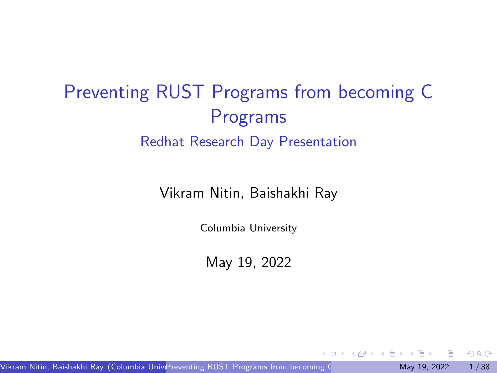# <span id="page-0-0"></span>Preventing RUST Programs from becoming C Programs Redhat Research Day Presentation

Vikram Nitin, Baishakhi Ray

Columbia University

May 19, 2022

Vikram Nitin, Baishakhi Ray (Columbia University) [Preventing RUST Programs from becoming C Programs](#page-37-0) May 19, 2022 1/38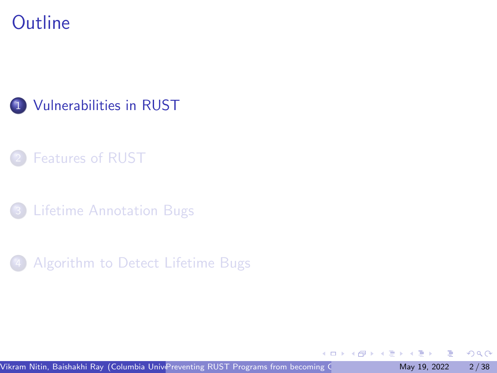<span id="page-1-0"></span>**Outline** 



- **[Features of RUST](#page-6-0)**
- **[Lifetime Annotation Bugs](#page-20-0)**
- [Algorithm to Detect Lifetime Bugs](#page-30-0)

4日下

 $QQ$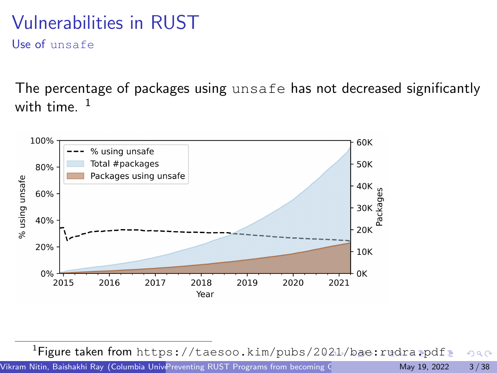# <span id="page-2-0"></span>Vulnerabilities in RUST

Use of unsafe

The percentage of packages using unsafe has not decreased significantly with time.  $1$ 



<sup>1</sup>Figure taken from <https://taesoo.kim/pubs/2021/bae:rudra.pdf>  $QQ$ Vikram Nitin, Baishakhi Ray (Columbia University) [Preventing RUST Programs from becoming C Programs](#page-0-0) May 19, 2022 3/38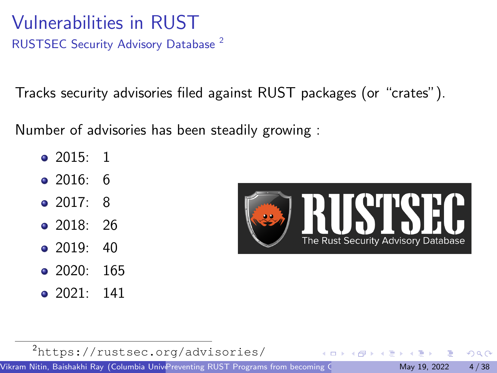<span id="page-3-0"></span>Vulnerabilities in RUST RUSTSEC Security Advisory Database <sup>2</sup>

Tracks security advisories filed against RUST packages (or "crates").

Number of advisories has been steadily growing :

- 2015: 1
- 2016: 6
- $\bullet$  2017: 8
- 2018: 26
- $\bullet$  2019: 40
- $\bullet$  2020: 165
- $\bullet$  2021: 141



<sup>2</sup><https://rustsec.org/advisories/>

Vikram Nitin, Baishakhi Ray (Columbia University) [Preventing RUST Programs from becoming C Programs](#page-0-0) May 19, 2022 4/38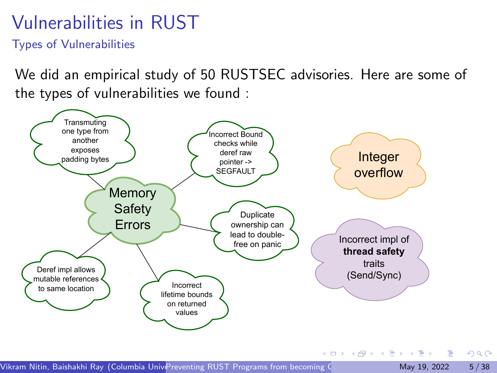# Vulnerabilities in RUST

Types of Vulnerabilities

We did an empirical study of 50 RUSTSEC advisories. Here are some of the types of vulnerabilities we found :



 $QQ$ 

イロト イ押 トイヨ トイヨト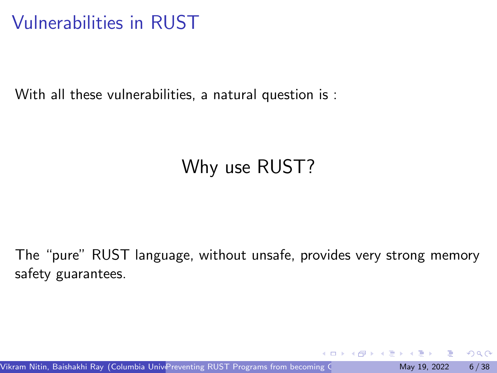# <span id="page-5-0"></span>Vulnerabilities in RUST

With all these vulnerabilities, a natural question is :

# Why use RUST?

The "pure" RUST language, without unsafe, provides very strong memory safety guarantees.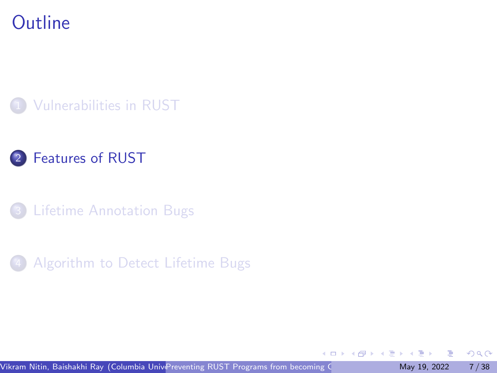## <span id="page-6-0"></span>**Outline**





**[Lifetime Annotation Bugs](#page-20-0)** 



4日下

 $QQ$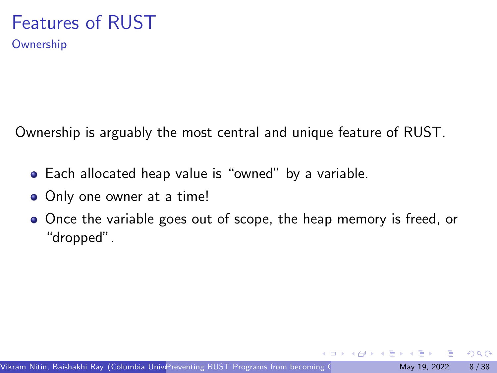**Ownership** 

Ownership is arguably the most central and unique feature of RUST.

- Each allocated heap value is "owned" by a variable.
- Only one owner at a time!
- Once the variable goes out of scope, the heap memory is freed, or "dropped".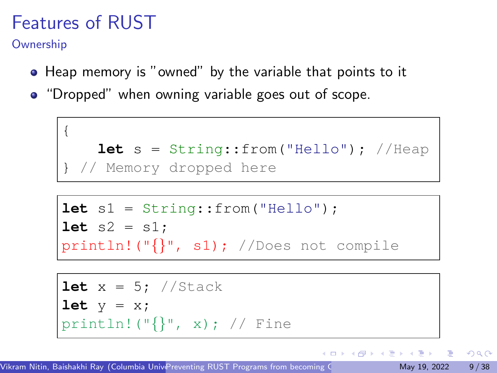**Ownership** 

- Heap memory is "owned" by the variable that points to it
- "Dropped" when owning variable goes out of scope.

```
{
   let s = String::from("Hello"); //Heap
 // Memory dropped here
```

```
let s1 = String::from("Hello");
let s2 = s1;println!("{}", s1); //Does not compile
```

```
let x = 5; //Stack
let y = x;
println! (\sqrt[n]{\cdot}, x); // Fine
```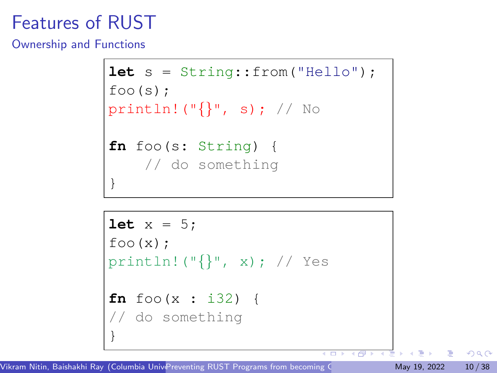Ownership and Functions

```
let s = String::from("Hello");
foo(s);
println! ("\{\}", s); // No
fn foo(s: String) {
    // do something
}
```

```
let x = 5;
foo(x);
println! ("\{\}", x); // Yes
fn foo(x : i32) {
// do something
}
```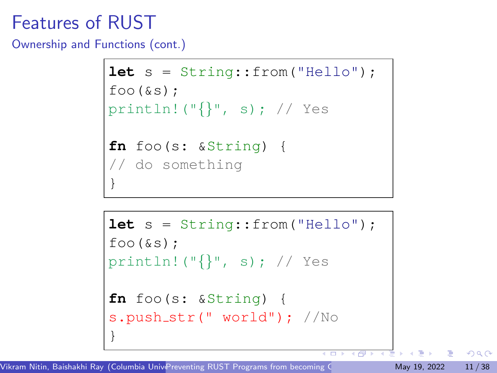Ownership and Functions (cont.)

```
let s = String::from("Hello");
foo(s);println! ("{\} , s); // Yes
fn foo(s: &String) {
// do something
}
```

```
let s = String::from("Hello");
foo(\&s);
println! ("\{\}', s); // Yes
fn foo(s: &String) {
s.push_str(" world"); //No
}
```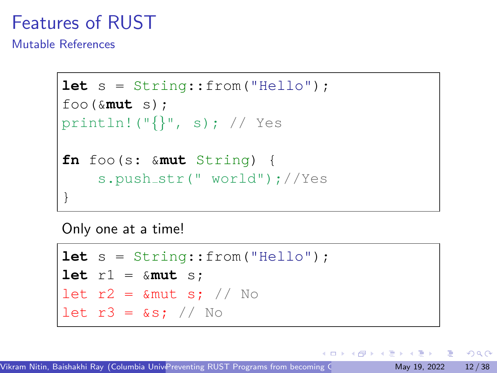Mutable References

```
let s = String::from("Hello");
foo(&mut s);
println!("{}", s); // Yes
fn foo(s: &mut String) {
    s.push_str(" world");//Yes
}
```
Only one at a time!

```
let s = String::from("Hello");
let r1 = &mut s;
let r2 = 8mut s; // No
let r3 = 8s; // No
```
 $QQQ$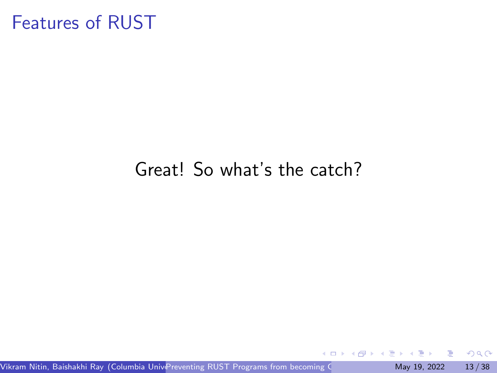## Great! So what's the catch?

4 0 8

 $QQ$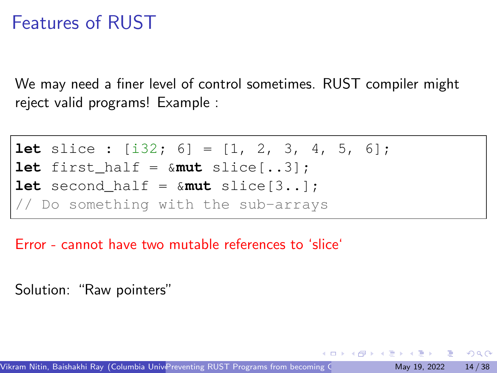We may need a finer level of control sometimes. RUST compiler might reject valid programs! Example :

```
let slice : [i32; 6] = [1, 2, 3, 4, 5, 6];
let first half = \&mut slice[..3];
let second half = \&mut slice[3..];
// Do something with the sub-arrays
```
Error - cannot have two mutable references to 'slice'

Solution: "Raw pointers"

 $QQQ$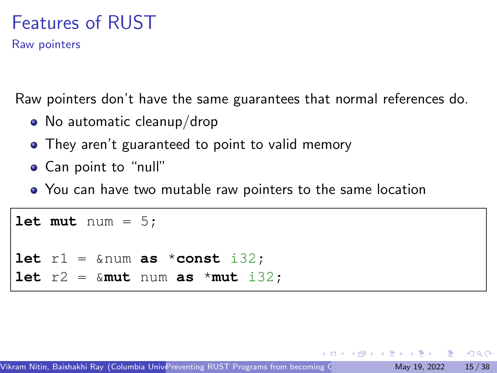Raw pointers

Raw pointers don't have the same guarantees that normal references do.

- No automatic cleanup/drop
- They aren't guaranteed to point to valid memory
- Can point to "null"
- You can have two mutable raw pointers to the same location

```
let mut num = 5;
let r1 = &num as *const i32;
let r2 = \&{mult} num as *{mult} i32;
```
 $QQQ$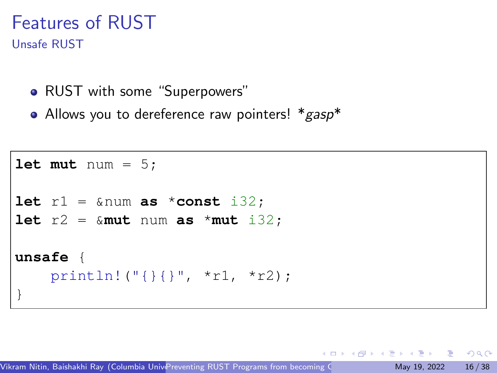#### Features of RUST Unsafe RUST

- RUST with some "Superpowers"
- Allows you to dereference raw pointers!  $*_{\text{gas}}*$

```
let mut num = 5;
let r1 = \text{\text{\texttt{\&}}num} as *const i32;
let r2 = \text{kmut num} as *mut i32;
unsafe {
     println!("{}{}", *r1, *r2);
}
```
 $QQ$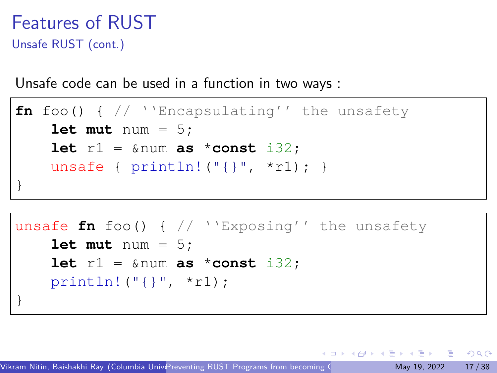## Features of RUST Unsafe RUST (cont.)

Unsafe code can be used in a function in two ways :

```
fn foo() { // ''Encapsulating'' the unsafety
    let mut num = 5;
    let r1 = \text{lnum} as *const i32;
    unsafe { printhln! ("{}'{}'''', *r1);}
```

```
unsafe fn foo() { // ''Exposing'' the unsafety
    let mut num = 5;
    let r1 = \text{sinum} as *const i32;
    println!("{}", *r1);
}
```
 $\equiv$   $\cap$   $\alpha$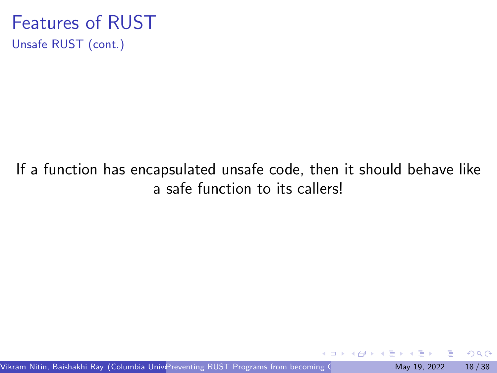#### Features of RUST Unsafe RUST (cont.)

#### If a function has encapsulated unsafe code, then it should behave like a safe function to its callers!

 $QQ$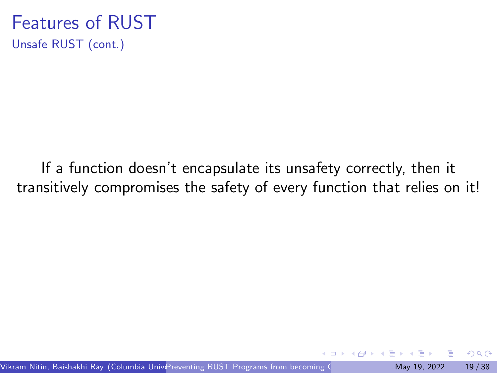#### Features of RUST Unsafe RUST (cont.)

If a function doesn't encapsulate its unsafety correctly, then it transitively compromises the safety of every function that relies on it!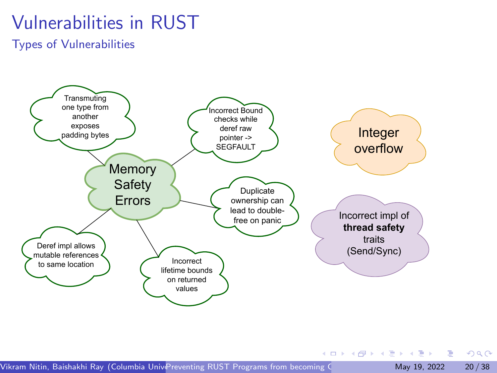# Vulnerabilities in RUST

Types of Vulnerabilities



Vikram Nitin, Baishakhi Ray (Columbia University) [Preventing RUST Programs from becoming C Programs](#page-0-0) May 19, 2022 20/38

 $QQ$ 

KID KA KA SA KE KI E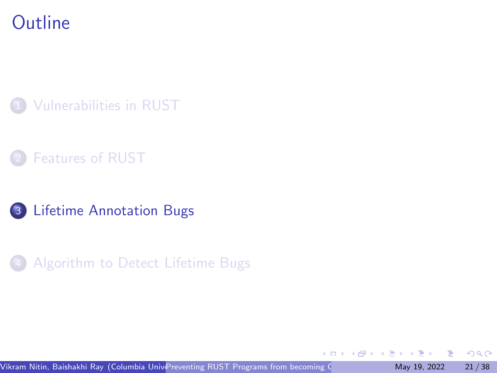## <span id="page-20-0"></span>**Outline**









4 0 3

 $QQ$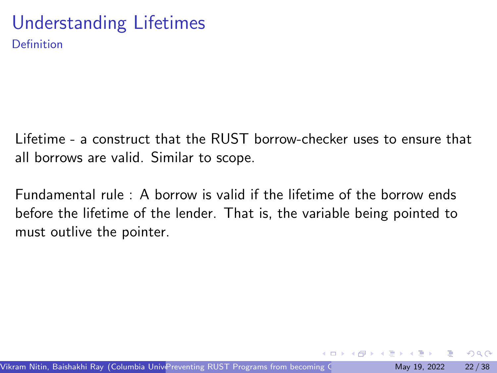#### Understanding Lifetimes Definition

Lifetime - a construct that the RUST borrow-checker uses to ensure that all borrows are valid. Similar to scope.

Fundamental rule : A borrow is valid if the lifetime of the borrow ends before the lifetime of the lender. That is, the variable being pointed to must outlive the pointer.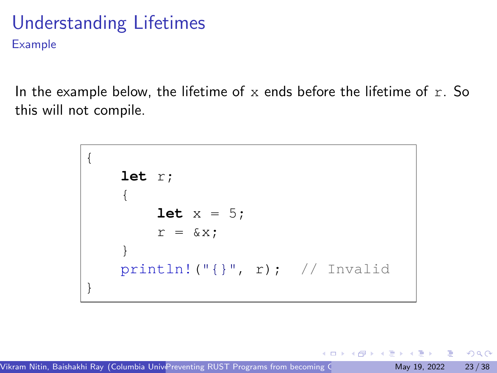#### Understanding Lifetimes Example

In the example below, the lifetime of x ends before the lifetime of  $r$ . So this will not compile.

> { **let** r; { **let**  $x = 5$ ;  $r = \&x$ } println!("{}", r); // Invalid }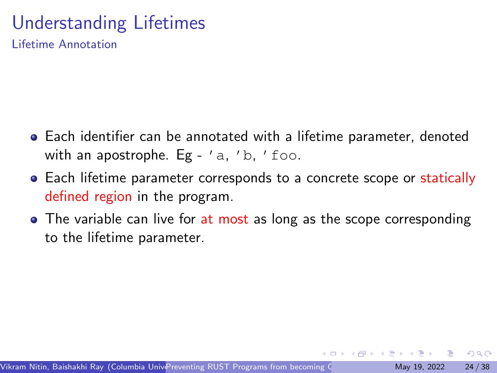# Understanding Lifetimes

Lifetime Annotation

- Each identifier can be annotated with a lifetime parameter, denoted with an apostrophe. Eg -  $a, b, f \circ \circ b$ .
- Each lifetime parameter corresponds to a concrete scope or statically defined region in the program.
- The variable can live for at most as long as the scope corresponding to the lifetime parameter.

 $QQQ$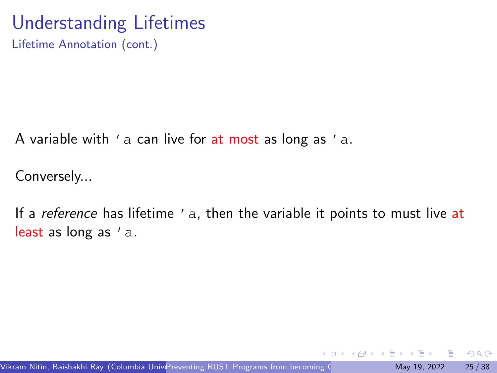# Understanding Lifetimes

Lifetime Annotation (cont.)

A variable with  $'$  a can live for at most as long as  $'$  a.

Conversely...

If a *reference* has lifetime 'a, then the variable it points to must live at least as long as 'a.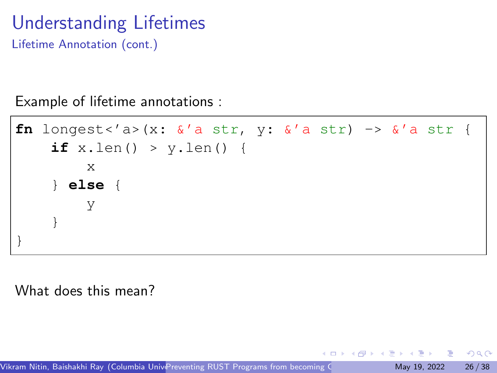# Understanding Lifetimes

Lifetime Annotation (cont.)

Example of lifetime annotations :

```
fn longest<'a>(x: \&''a str, y: \&''a str) -> \&''a str {
    if x.len() > y.len() {
         x
    } else {
         y
    }
}
```
What does this mean?

Vikram Nitin, Baishakhi Ray (Columbia University) [Preventing RUST Programs from becoming C Programs](#page-0-0) May 19, 2022 26/38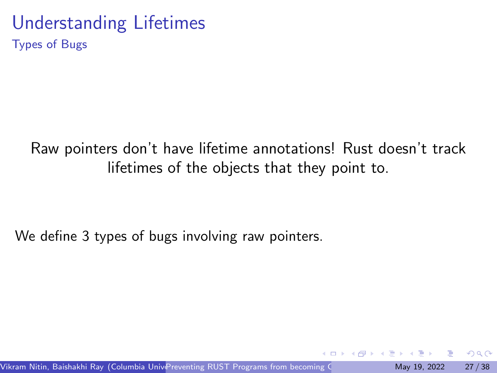#### Understanding Lifetimes Types of Bugs

#### Raw pointers don't have lifetime annotations! Rust doesn't track lifetimes of the objects that they point to.

We define 3 types of bugs involving raw pointers.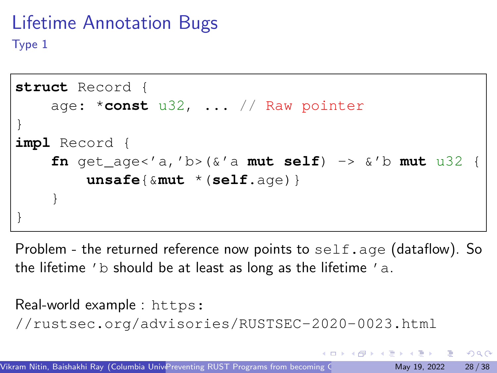## Lifetime Annotation Bugs Type 1

```
struct Record {
    age: *const u32, ... // Raw pointer
}
impl Record {
    fn get age<'a,'b>(\&i'a mut self) -> \&i'b mut u32
        unsafe{&mut *(self.age)}
    }
}
```
Problem - the returned reference now points to  $\text{self}$ . age (dataflow). So the lifetime 'b should be at least as long as the lifetime 'a.

```
Real-world example : https:
//rustsec.org/advisories/RUSTSEC-2020-0023.html
                                                         \Omega
```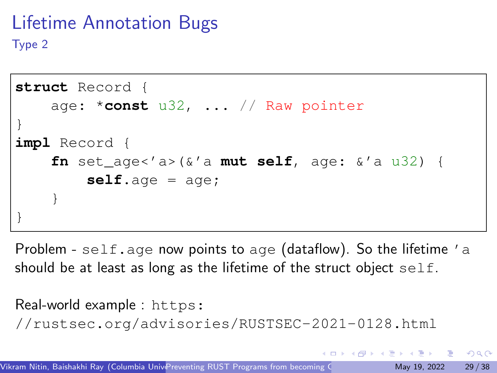## Lifetime Annotation Bugs Type 2

```
struct Record {
    age: *const u32, ... // Raw pointer
}
impl Record {
    fn set age<'a>(\&'a mut self, age: \&'a u32) {
        self.age = age;
    }
}
```
Problem - self.age now points to age (dataflow). So the lifetime 'a should be at least as long as the lifetime of the struct object self.

```
Real-world example : https:
//rustsec.org/advisories/RUSTSEC-2021-0128.html
                                                       QQQ
```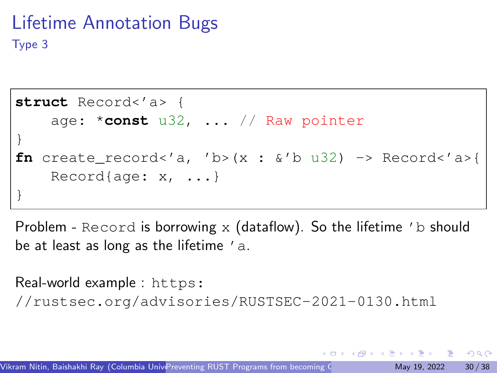## Lifetime Annotation Bugs Type 3

```
struct Record<'a> {
    age: *const u32, ... // Raw pointer
}
fn create_record<'a, 'b>(x : \&v'b u32) -> Record<'a>{
    Record{age: x, ...}
}
```
Problem - Record is borrowing  $x$  (dataflow). So the lifetime 'b should be at least as long as the lifetime 'a.

Real-world example : [https:](https://rustsec.org/advisories/RUSTSEC-2021-0130.html) [//rustsec.org/advisories/RUSTSEC-2021-0130.html](https://rustsec.org/advisories/RUSTSEC-2021-0130.html)

 $QQQ$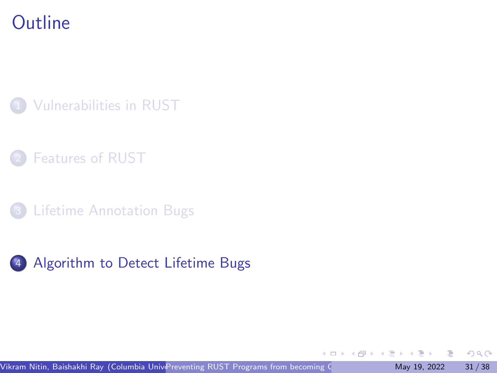## <span id="page-30-0"></span>**Outline**



- **[Features of RUST](#page-6-0)**
- **[Lifetime Annotation Bugs](#page-20-0)**



 $\leftarrow$   $\Box$ 

 $299$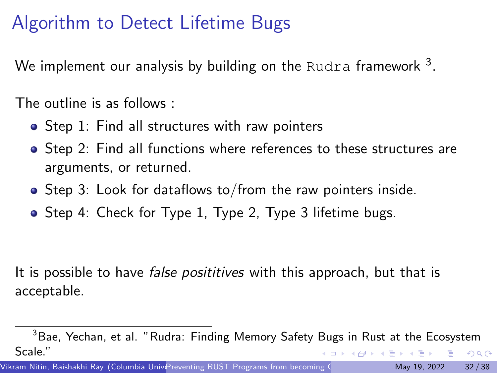# Algorithm to Detect Lifetime Bugs

We implement our analysis by building on the <code>Rudra</code> framework  $^3.$ 

The outline is as follows :

- Step 1: Find all structures with raw pointers
- Step 2: Find all functions where references to these structures are arguments, or returned.
- Step 3: Look for dataflows to/from the raw pointers inside.
- Step 4: Check for Type 1, Type 2, Type 3 lifetime bugs.

It is possible to have *false posititives* with this approach, but that is acceptable.

Vikram Nitin, Baishakhi Ray (Columbia University) [Preventing RUST Programs from becoming C Programs](#page-0-0) May 19, 2022 32 / 38

 $3B$ ae, Yechan, et al. "Rudra: Finding Memory Safety Bugs in Rust at the Ecosystem Scale."  $QQ$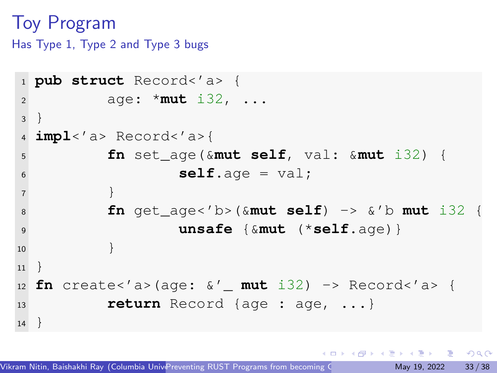## Toy Program

Has Type 1, Type 2 and Type 3 bugs

```
1 pub struct Record<'a> {
2 age: *mut i32, ...
\overline{3}4 impl<'a> Record<'a>{
5 fn set_age(&mut self, val: &mut i32) {
\text{self} \text{.} \text{age} = \text{val};7 }
8 fn get_age<'b>(&mut self) -> &'b mut i32 {
9 unsafe {&mut (*self.age)}
10 }
11 }
12 fn create<'a>(age: &'_ mut i32) -> Record<'a> {
13 return Record {age : age, ...}
14
```
 $\Omega$ æ.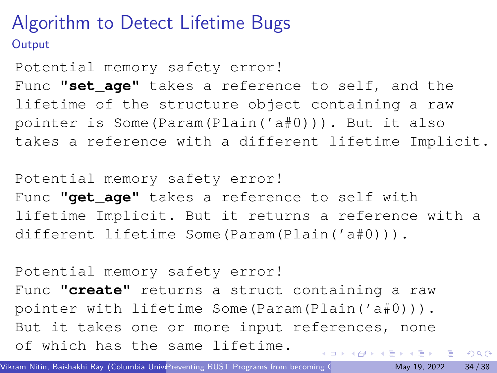## Algorithm to Detect Lifetime Bugs **Output**

Potential memory safety error! Func **"set\_age"** takes a reference to self, and the lifetime of the structure object containing a raw pointer is Some(Param(Plain('a#0))). But it also takes a reference with a different lifetime Implicit.

Potential memory safety error! Func "qet aqe" takes a reference to self with lifetime Implicit. But it returns a reference with a different lifetime Some(Param(Plain('a#0))).

Potential memory safety error! Func **"create"** returns a struct containing a raw pointer with lifetime Some(Param(Plain('a#0))). But it takes one or more input references, none of which has the same lifetime.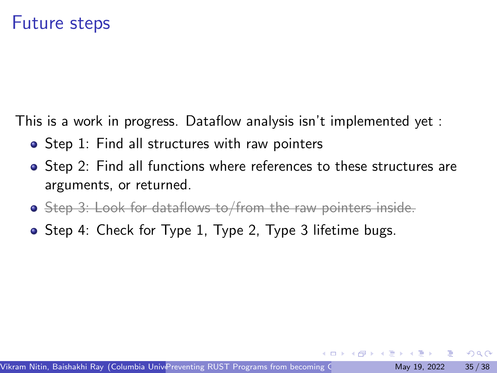This is a work in progress. Dataflow analysis isn't implemented yet :

- Step 1: Find all structures with raw pointers
- Step 2: Find all functions where references to these structures are arguments, or returned.
- Step 3: Look for dataflows to/from the raw pointers inside.
- Step 4: Check for Type 1, Type 2, Type 3 lifetime bugs.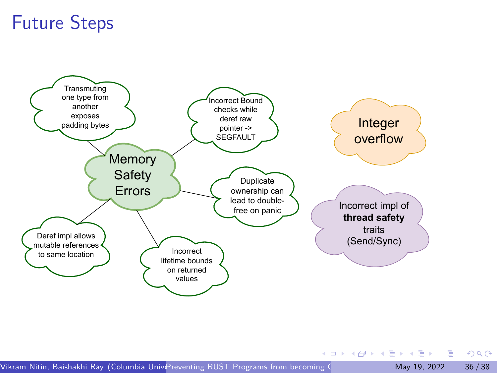# Future Steps



 $QQ$ 

KID KA KA SA KE KI E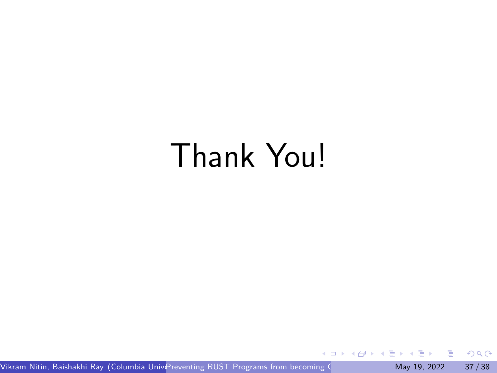# Thank You!

Vikram Nitin, Baishakhi Ray (Columbia Unive[Preventing RUST Programs from becoming C Programs](#page-0-0) May 19, 2022 37/38

 $\rightarrow$   $\rightarrow$   $\rightarrow$ 

重

 $299$ 

4 ロ ト 4 伺 ト 4 目